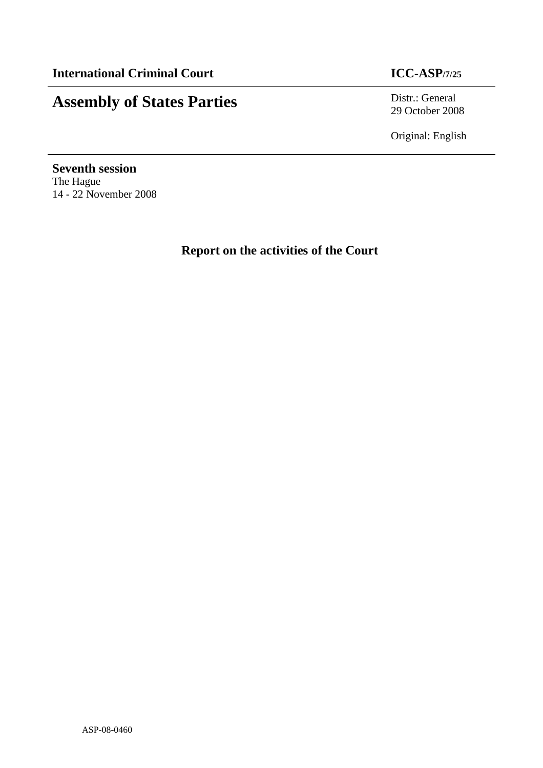## **Assembly of States Parties** Distr.: General

29 October 2008

Original: English

**Seventh session**  The Hague 14 - 22 November 2008

**Report on the activities of the Court**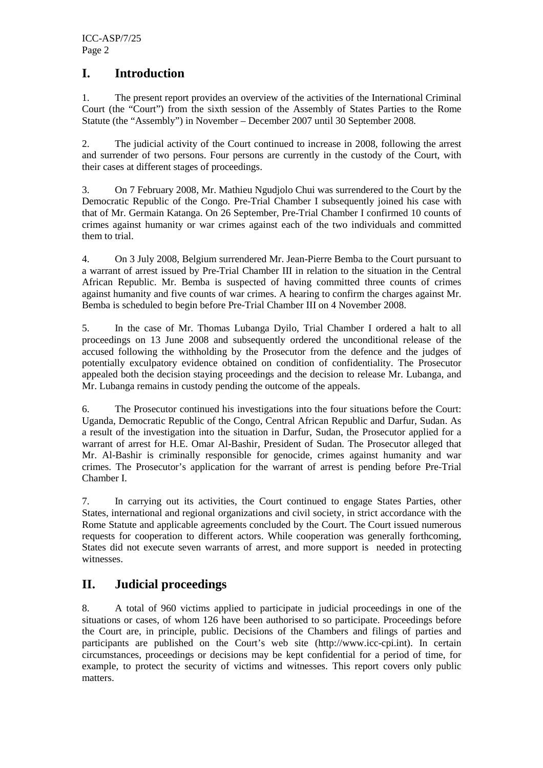#### **I. Introduction**

1. The present report provides an overview of the activities of the International Criminal Court (the "Court") from the sixth session of the Assembly of States Parties to the Rome Statute (the "Assembly") in November – December 2007 until 30 September 2008.

2. The judicial activity of the Court continued to increase in 2008, following the arrest and surrender of two persons. Four persons are currently in the custody of the Court, with their cases at different stages of proceedings.

3. On 7 February 2008, Mr. Mathieu Ngudjolo Chui was surrendered to the Court by the Democratic Republic of the Congo. Pre-Trial Chamber I subsequently joined his case with that of Mr. Germain Katanga. On 26 September, Pre-Trial Chamber I confirmed 10 counts of crimes against humanity or war crimes against each of the two individuals and committed them to trial.

4. On 3 July 2008, Belgium surrendered Mr. Jean-Pierre Bemba to the Court pursuant to a warrant of arrest issued by Pre-Trial Chamber III in relation to the situation in the Central African Republic. Mr. Bemba is suspected of having committed three counts of crimes against humanity and five counts of war crimes. A hearing to confirm the charges against Mr. Bemba is scheduled to begin before Pre-Trial Chamber III on 4 November 2008.

5. In the case of Mr. Thomas Lubanga Dyilo, Trial Chamber I ordered a halt to all proceedings on 13 June 2008 and subsequently ordered the unconditional release of the accused following the withholding by the Prosecutor from the defence and the judges of potentially exculpatory evidence obtained on condition of confidentiality. The Prosecutor appealed both the decision staying proceedings and the decision to release Mr. Lubanga, and Mr. Lubanga remains in custody pending the outcome of the appeals.

6. The Prosecutor continued his investigations into the four situations before the Court: Uganda, Democratic Republic of the Congo, Central African Republic and Darfur, Sudan. As a result of the investigation into the situation in Darfur, Sudan, the Prosecutor applied for a warrant of arrest for H.E. Omar Al-Bashir, President of Sudan. The Prosecutor alleged that Mr. Al-Bashir is criminally responsible for genocide, crimes against humanity and war crimes. The Prosecutor's application for the warrant of arrest is pending before Pre-Trial Chamber I.

7. In carrying out its activities, the Court continued to engage States Parties, other States, international and regional organizations and civil society, in strict accordance with the Rome Statute and applicable agreements concluded by the Court. The Court issued numerous requests for cooperation to different actors. While cooperation was generally forthcoming, States did not execute seven warrants of arrest, and more support is needed in protecting witnesses.

### **II. Judicial proceedings**

8. A total of 960 victims applied to participate in judicial proceedings in one of the situations or cases, of whom 126 have been authorised to so participate. Proceedings before the Court are, in principle, public. Decisions of the Chambers and filings of parties and participants are published on the Court's web site (http://www.icc-cpi.int). In certain circumstances, proceedings or decisions may be kept confidential for a period of time, for example, to protect the security of victims and witnesses. This report covers only public matters.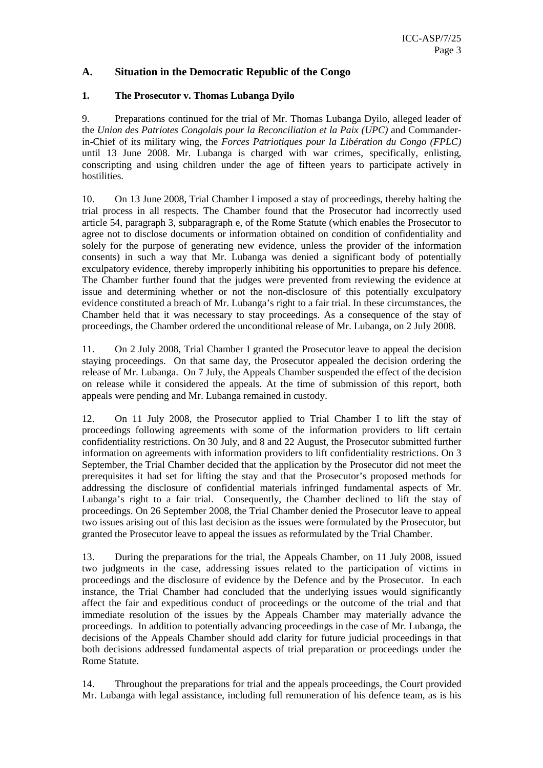#### **A. Situation in the Democratic Republic of the Congo**

#### **1. The Prosecutor v. Thomas Lubanga Dyilo**

9. Preparations continued for the trial of Mr. Thomas Lubanga Dyilo, alleged leader of the *Union des Patriotes Congolais pour la Reconciliation et la Paix (UPC)* and Commanderin-Chief of its military wing, the *Forces Patriotiques pour la Libération du Congo (FPLC)*  until 13 June 2008. Mr. Lubanga is charged with war crimes, specifically, enlisting, conscripting and using children under the age of fifteen years to participate actively in hostilities.

10. On 13 June 2008, Trial Chamber I imposed a stay of proceedings, thereby halting the trial process in all respects. The Chamber found that the Prosecutor had incorrectly used article 54, paragraph 3, subparagraph e, of the Rome Statute (which enables the Prosecutor to agree not to disclose documents or information obtained on condition of confidentiality and solely for the purpose of generating new evidence, unless the provider of the information consents) in such a way that Mr. Lubanga was denied a significant body of potentially exculpatory evidence, thereby improperly inhibiting his opportunities to prepare his defence. The Chamber further found that the judges were prevented from reviewing the evidence at issue and determining whether or not the non-disclosure of this potentially exculpatory evidence constituted a breach of Mr. Lubanga's right to a fair trial. In these circumstances, the Chamber held that it was necessary to stay proceedings. As a consequence of the stay of proceedings, the Chamber ordered the unconditional release of Mr. Lubanga, on 2 July 2008.

11. On 2 July 2008, Trial Chamber I granted the Prosecutor leave to appeal the decision staying proceedings. On that same day, the Prosecutor appealed the decision ordering the release of Mr. Lubanga. On 7 July, the Appeals Chamber suspended the effect of the decision on release while it considered the appeals. At the time of submission of this report, both appeals were pending and Mr. Lubanga remained in custody.

12. On 11 July 2008, the Prosecutor applied to Trial Chamber I to lift the stay of proceedings following agreements with some of the information providers to lift certain confidentiality restrictions. On 30 July, and 8 and 22 August, the Prosecutor submitted further information on agreements with information providers to lift confidentiality restrictions. On 3 September, the Trial Chamber decided that the application by the Prosecutor did not meet the prerequisites it had set for lifting the stay and that the Prosecutor's proposed methods for addressing the disclosure of confidential materials infringed fundamental aspects of Mr. Lubanga's right to a fair trial. Consequently, the Chamber declined to lift the stay of proceedings. On 26 September 2008, the Trial Chamber denied the Prosecutor leave to appeal two issues arising out of this last decision as the issues were formulated by the Prosecutor, but granted the Prosecutor leave to appeal the issues as reformulated by the Trial Chamber.

13. During the preparations for the trial, the Appeals Chamber, on 11 July 2008, issued two judgments in the case, addressing issues related to the participation of victims in proceedings and the disclosure of evidence by the Defence and by the Prosecutor. In each instance, the Trial Chamber had concluded that the underlying issues would significantly affect the fair and expeditious conduct of proceedings or the outcome of the trial and that immediate resolution of the issues by the Appeals Chamber may materially advance the proceedings. In addition to potentially advancing proceedings in the case of Mr. Lubanga, the decisions of the Appeals Chamber should add clarity for future judicial proceedings in that both decisions addressed fundamental aspects of trial preparation or proceedings under the Rome Statute.

14. Throughout the preparations for trial and the appeals proceedings, the Court provided Mr. Lubanga with legal assistance, including full remuneration of his defence team, as is his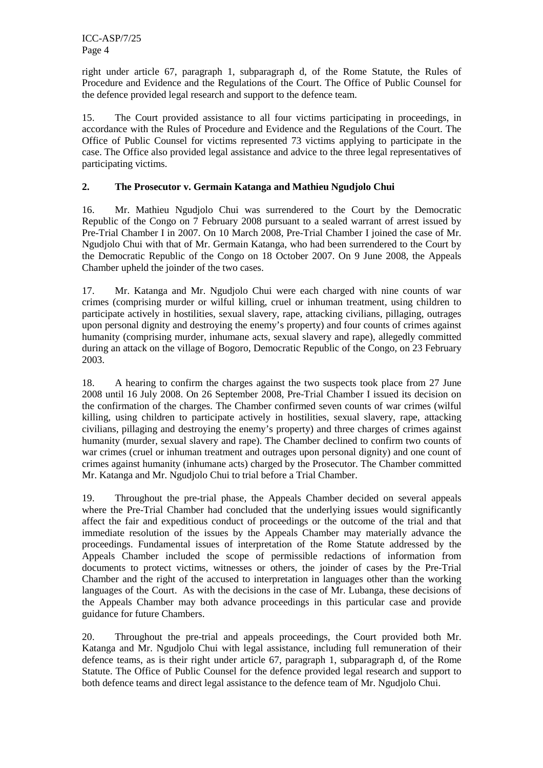right under article 67, paragraph 1, subparagraph d, of the Rome Statute, the Rules of Procedure and Evidence and the Regulations of the Court. The Office of Public Counsel for the defence provided legal research and support to the defence team.

15. The Court provided assistance to all four victims participating in proceedings, in accordance with the Rules of Procedure and Evidence and the Regulations of the Court. The Office of Public Counsel for victims represented 73 victims applying to participate in the case. The Office also provided legal assistance and advice to the three legal representatives of participating victims.

#### **2. The Prosecutor v. Germain Katanga and Mathieu Ngudjolo Chui**

16. Mr. Mathieu Ngudjolo Chui was surrendered to the Court by the Democratic Republic of the Congo on 7 February 2008 pursuant to a sealed warrant of arrest issued by Pre-Trial Chamber I in 2007. On 10 March 2008, Pre-Trial Chamber I joined the case of Mr. Ngudjolo Chui with that of Mr. Germain Katanga, who had been surrendered to the Court by the Democratic Republic of the Congo on 18 October 2007. On 9 June 2008, the Appeals Chamber upheld the joinder of the two cases.

17. Mr. Katanga and Mr. Ngudjolo Chui were each charged with nine counts of war crimes (comprising murder or wilful killing, cruel or inhuman treatment, using children to participate actively in hostilities, sexual slavery, rape, attacking civilians, pillaging, outrages upon personal dignity and destroying the enemy's property) and four counts of crimes against humanity (comprising murder, inhumane acts, sexual slavery and rape), allegedly committed during an attack on the village of Bogoro, Democratic Republic of the Congo, on 23 February 2003.

18. A hearing to confirm the charges against the two suspects took place from 27 June 2008 until 16 July 2008. On 26 September 2008, Pre-Trial Chamber I issued its decision on the confirmation of the charges. The Chamber confirmed seven counts of war crimes (wilful killing, using children to participate actively in hostilities, sexual slavery, rape, attacking civilians, pillaging and destroying the enemy's property) and three charges of crimes against humanity (murder, sexual slavery and rape). The Chamber declined to confirm two counts of war crimes (cruel or inhuman treatment and outrages upon personal dignity) and one count of crimes against humanity (inhumane acts) charged by the Prosecutor. The Chamber committed Mr. Katanga and Mr. Ngudjolo Chui to trial before a Trial Chamber.

19. Throughout the pre-trial phase, the Appeals Chamber decided on several appeals where the Pre-Trial Chamber had concluded that the underlying issues would significantly affect the fair and expeditious conduct of proceedings or the outcome of the trial and that immediate resolution of the issues by the Appeals Chamber may materially advance the proceedings. Fundamental issues of interpretation of the Rome Statute addressed by the Appeals Chamber included the scope of permissible redactions of information from documents to protect victims, witnesses or others, the joinder of cases by the Pre-Trial Chamber and the right of the accused to interpretation in languages other than the working languages of the Court. As with the decisions in the case of Mr. Lubanga, these decisions of the Appeals Chamber may both advance proceedings in this particular case and provide guidance for future Chambers.

20. Throughout the pre-trial and appeals proceedings, the Court provided both Mr. Katanga and Mr. Ngudjolo Chui with legal assistance, including full remuneration of their defence teams, as is their right under article 67, paragraph 1, subparagraph d, of the Rome Statute. The Office of Public Counsel for the defence provided legal research and support to both defence teams and direct legal assistance to the defence team of Mr. Ngudjolo Chui.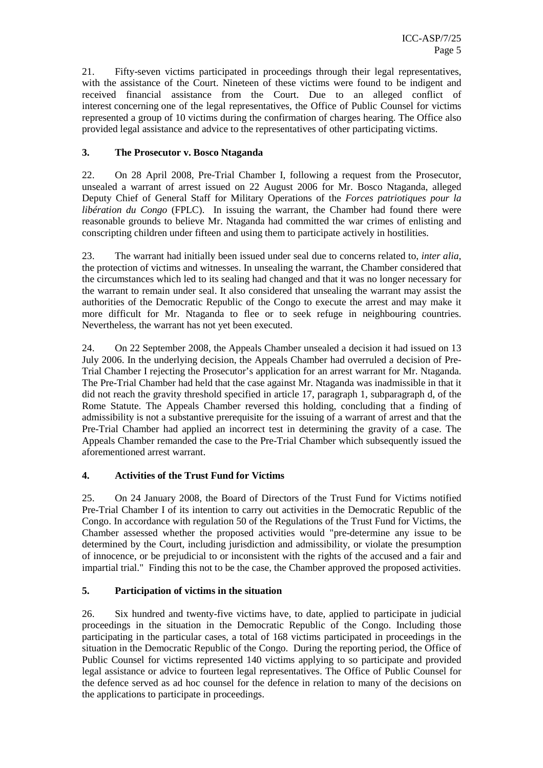21. Fifty-seven victims participated in proceedings through their legal representatives, with the assistance of the Court. Nineteen of these victims were found to be indigent and received financial assistance from the Court. Due to an alleged conflict of interest concerning one of the legal representatives, the Office of Public Counsel for victims represented a group of 10 victims during the confirmation of charges hearing. The Office also provided legal assistance and advice to the representatives of other participating victims.

#### **3. The Prosecutor v. Bosco Ntaganda**

22. On 28 April 2008, Pre-Trial Chamber I, following a request from the Prosecutor, unsealed a warrant of arrest issued on 22 August 2006 for Mr. Bosco Ntaganda, alleged Deputy Chief of General Staff for Military Operations of the *Forces patriotiques pour la libération du Congo* (FPLC). In issuing the warrant, the Chamber had found there were reasonable grounds to believe Mr. Ntaganda had committed the war crimes of enlisting and conscripting children under fifteen and using them to participate actively in hostilities.

23. The warrant had initially been issued under seal due to concerns related to, *inter alia*, the protection of victims and witnesses. In unsealing the warrant, the Chamber considered that the circumstances which led to its sealing had changed and that it was no longer necessary for the warrant to remain under seal. It also considered that unsealing the warrant may assist the authorities of the Democratic Republic of the Congo to execute the arrest and may make it more difficult for Mr. Ntaganda to flee or to seek refuge in neighbouring countries. Nevertheless, the warrant has not yet been executed.

24. On 22 September 2008, the Appeals Chamber unsealed a decision it had issued on 13 July 2006. In the underlying decision, the Appeals Chamber had overruled a decision of Pre-Trial Chamber I rejecting the Prosecutor's application for an arrest warrant for Mr. Ntaganda. The Pre-Trial Chamber had held that the case against Mr. Ntaganda was inadmissible in that it did not reach the gravity threshold specified in article 17, paragraph 1, subparagraph d, of the Rome Statute. The Appeals Chamber reversed this holding, concluding that a finding of admissibility is not a substantive prerequisite for the issuing of a warrant of arrest and that the Pre-Trial Chamber had applied an incorrect test in determining the gravity of a case. The Appeals Chamber remanded the case to the Pre-Trial Chamber which subsequently issued the aforementioned arrest warrant.

#### **4. Activities of the Trust Fund for Victims**

25. On 24 January 2008, the Board of Directors of the Trust Fund for Victims notified Pre-Trial Chamber I of its intention to carry out activities in the Democratic Republic of the Congo. In accordance with regulation 50 of the Regulations of the Trust Fund for Victims, the Chamber assessed whether the proposed activities would "pre-determine any issue to be determined by the Court, including jurisdiction and admissibility, or violate the presumption of innocence, or be prejudicial to or inconsistent with the rights of the accused and a fair and impartial trial." Finding this not to be the case, the Chamber approved the proposed activities.

#### **5. Participation of victims in the situation**

26. Six hundred and twenty-five victims have, to date, applied to participate in judicial proceedings in the situation in the Democratic Republic of the Congo. Including those participating in the particular cases, a total of 168 victims participated in proceedings in the situation in the Democratic Republic of the Congo. During the reporting period, the Office of Public Counsel for victims represented 140 victims applying to so participate and provided legal assistance or advice to fourteen legal representatives. The Office of Public Counsel for the defence served as ad hoc counsel for the defence in relation to many of the decisions on the applications to participate in proceedings.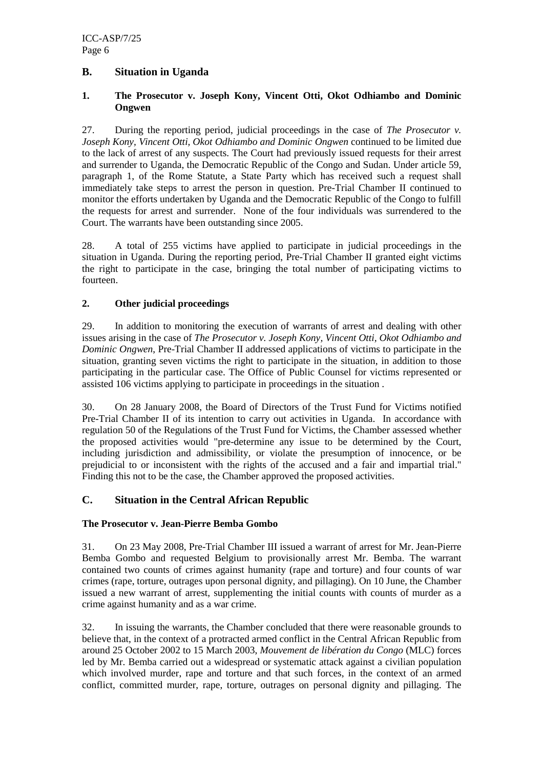#### **B. Situation in Uganda**

#### **1. The Prosecutor v. Joseph Kony, Vincent Otti, Okot Odhiambo and Dominic Ongwen**

27. During the reporting period, judicial proceedings in the case of *The Prosecutor v. Joseph Kony, Vincent Otti, Okot Odhiambo and Dominic Ongwen* continued to be limited due to the lack of arrest of any suspects. The Court had previously issued requests for their arrest and surrender to Uganda, the Democratic Republic of the Congo and Sudan. Under article 59, paragraph 1, of the Rome Statute, a State Party which has received such a request shall immediately take steps to arrest the person in question. Pre-Trial Chamber II continued to monitor the efforts undertaken by Uganda and the Democratic Republic of the Congo to fulfill the requests for arrest and surrender. None of the four individuals was surrendered to the Court. The warrants have been outstanding since 2005.

28. A total of 255 victims have applied to participate in judicial proceedings in the situation in Uganda. During the reporting period, Pre-Trial Chamber II granted eight victims the right to participate in the case, bringing the total number of participating victims to fourteen.

#### **2. Other judicial proceedings**

29. In addition to monitoring the execution of warrants of arrest and dealing with other issues arising in the case of *The Prosecutor v. Joseph Kony, Vincent Otti, Okot Odhiambo and Dominic Ongwen*, Pre-Trial Chamber II addressed applications of victims to participate in the situation, granting seven victims the right to participate in the situation, in addition to those participating in the particular case. The Office of Public Counsel for victims represented or assisted 106 victims applying to participate in proceedings in the situation .

30. On 28 January 2008, the Board of Directors of the Trust Fund for Victims notified Pre-Trial Chamber II of its intention to carry out activities in Uganda. In accordance with regulation 50 of the Regulations of the Trust Fund for Victims, the Chamber assessed whether the proposed activities would "pre-determine any issue to be determined by the Court, including jurisdiction and admissibility, or violate the presumption of innocence, or be prejudicial to or inconsistent with the rights of the accused and a fair and impartial trial." Finding this not to be the case, the Chamber approved the proposed activities.

#### **C. Situation in the Central African Republic**

#### **The Prosecutor v. Jean-Pierre Bemba Gombo**

31. On 23 May 2008, Pre-Trial Chamber III issued a warrant of arrest for Mr. Jean-Pierre Bemba Gombo and requested Belgium to provisionally arrest Mr. Bemba. The warrant contained two counts of crimes against humanity (rape and torture) and four counts of war crimes (rape, torture, outrages upon personal dignity, and pillaging). On 10 June, the Chamber issued a new warrant of arrest, supplementing the initial counts with counts of murder as a crime against humanity and as a war crime.

32. In issuing the warrants, the Chamber concluded that there were reasonable grounds to believe that, in the context of a protracted armed conflict in the Central African Republic from around 25 October 2002 to 15 March 2003, *Mouvement de libération du Congo* (MLC) forces led by Mr. Bemba carried out a widespread or systematic attack against a civilian population which involved murder, rape and torture and that such forces, in the context of an armed conflict, committed murder, rape, torture, outrages on personal dignity and pillaging. The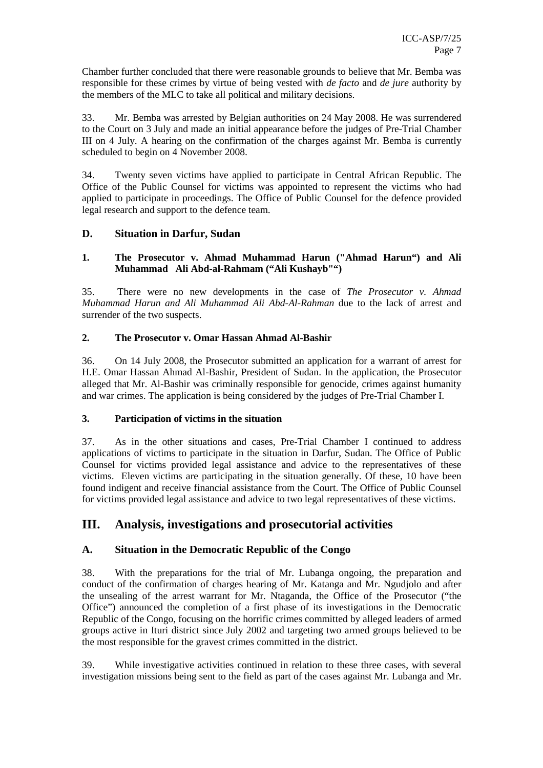Chamber further concluded that there were reasonable grounds to believe that Mr. Bemba was responsible for these crimes by virtue of being vested with *de facto* and *de jure* authority by the members of the MLC to take all political and military decisions.

33. Mr. Bemba was arrested by Belgian authorities on 24 May 2008. He was surrendered to the Court on 3 July and made an initial appearance before the judges of Pre-Trial Chamber III on 4 July. A hearing on the confirmation of the charges against Mr. Bemba is currently scheduled to begin on 4 November 2008.

34. Twenty seven victims have applied to participate in Central African Republic. The Office of the Public Counsel for victims was appointed to represent the victims who had applied to participate in proceedings. The Office of Public Counsel for the defence provided legal research and support to the defence team.

#### **D. Situation in Darfur, Sudan**

#### **1. The Prosecutor v. Ahmad Muhammad Harun ("Ahmad Harun") and Ali Muhammad Ali Abd-al-Rahmam ("Ali Kushayb"")**

35. There were no new developments in the case of *The Prosecutor v. Ahmad Muhammad Harun and Ali Muhammad Ali Abd-Al-Rahman* due to the lack of arrest and surrender of the two suspects.

#### **2. The Prosecutor v. Omar Hassan Ahmad Al-Bashir**

36. On 14 July 2008, the Prosecutor submitted an application for a warrant of arrest for H.E. Omar Hassan Ahmad Al-Bashir, President of Sudan. In the application, the Prosecutor alleged that Mr. Al-Bashir was criminally responsible for genocide, crimes against humanity and war crimes. The application is being considered by the judges of Pre-Trial Chamber I.

#### **3. Participation of victims in the situation**

37. As in the other situations and cases, Pre-Trial Chamber I continued to address applications of victims to participate in the situation in Darfur, Sudan. The Office of Public Counsel for victims provided legal assistance and advice to the representatives of these victims. Eleven victims are participating in the situation generally. Of these, 10 have been found indigent and receive financial assistance from the Court. The Office of Public Counsel for victims provided legal assistance and advice to two legal representatives of these victims.

### **III. Analysis, investigations and prosecutorial activities**

#### **A. Situation in the Democratic Republic of the Congo**

38. With the preparations for the trial of Mr. Lubanga ongoing, the preparation and conduct of the confirmation of charges hearing of Mr. Katanga and Mr. Ngudjolo and after the unsealing of the arrest warrant for Mr. Ntaganda, the Office of the Prosecutor ("the Office") announced the completion of a first phase of its investigations in the Democratic Republic of the Congo, focusing on the horrific crimes committed by alleged leaders of armed groups active in Ituri district since July 2002 and targeting two armed groups believed to be the most responsible for the gravest crimes committed in the district.

39. While investigative activities continued in relation to these three cases, with several investigation missions being sent to the field as part of the cases against Mr. Lubanga and Mr.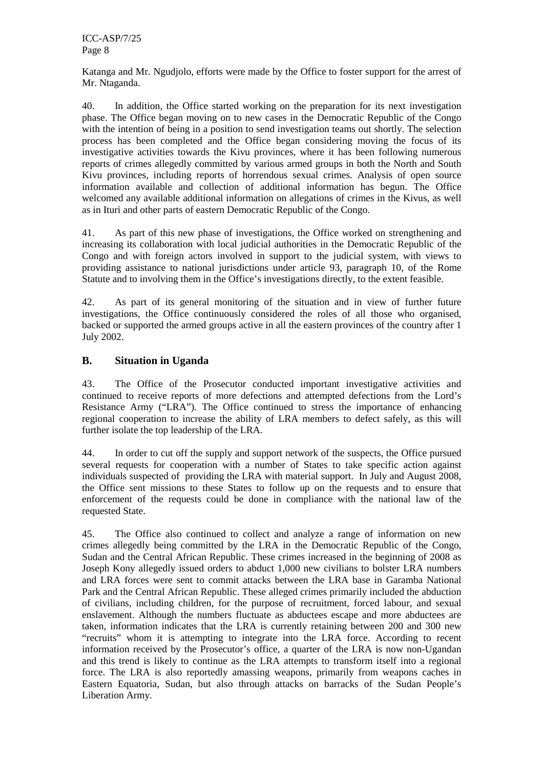Katanga and Mr. Ngudjolo, efforts were made by the Office to foster support for the arrest of Mr. Ntaganda.

40. In addition, the Office started working on the preparation for its next investigation phase. The Office began moving on to new cases in the Democratic Republic of the Congo with the intention of being in a position to send investigation teams out shortly. The selection process has been completed and the Office began considering moving the focus of its investigative activities towards the Kivu provinces, where it has been following numerous reports of crimes allegedly committed by various armed groups in both the North and South Kivu provinces, including reports of horrendous sexual crimes. Analysis of open source information available and collection of additional information has begun. The Office welcomed any available additional information on allegations of crimes in the Kivus, as well as in Ituri and other parts of eastern Democratic Republic of the Congo.

41. As part of this new phase of investigations, the Office worked on strengthening and increasing its collaboration with local judicial authorities in the Democratic Republic of the Congo and with foreign actors involved in support to the judicial system, with views to providing assistance to national jurisdictions under article 93, paragraph 10, of the Rome Statute and to involving them in the Office's investigations directly, to the extent feasible.

42. As part of its general monitoring of the situation and in view of further future investigations, the Office continuously considered the roles of all those who organised, backed or supported the armed groups active in all the eastern provinces of the country after 1 July 2002.

#### **B. Situation in Uganda**

43. The Office of the Prosecutor conducted important investigative activities and continued to receive reports of more defections and attempted defections from the Lord's Resistance Army ("LRA"). The Office continued to stress the importance of enhancing regional cooperation to increase the ability of LRA members to defect safely, as this will further isolate the top leadership of the LRA.

44. In order to cut off the supply and support network of the suspects, the Office pursued several requests for cooperation with a number of States to take specific action against individuals suspected of providing the LRA with material support. In July and August 2008, the Office sent missions to these States to follow up on the requests and to ensure that enforcement of the requests could be done in compliance with the national law of the requested State.

45. The Office also continued to collect and analyze a range of information on new crimes allegedly being committed by the LRA in the Democratic Republic of the Congo, Sudan and the Central African Republic. These crimes increased in the beginning of 2008 as Joseph Kony allegedly issued orders to abduct 1,000 new civilians to bolster LRA numbers and LRA forces were sent to commit attacks between the LRA base in Garamba National Park and the Central African Republic. These alleged crimes primarily included the abduction of civilians, including children, for the purpose of recruitment, forced labour, and sexual enslavement. Although the numbers fluctuate as abductees escape and more abductees are taken, information indicates that the LRA is currently retaining between 200 and 300 new "recruits" whom it is attempting to integrate into the LRA force. According to recent information received by the Prosecutor's office, a quarter of the LRA is now non-Ugandan and this trend is likely to continue as the LRA attempts to transform itself into a regional force. The LRA is also reportedly amassing weapons, primarily from weapons caches in Eastern Equatoria, Sudan, but also through attacks on barracks of the Sudan People's Liberation Army.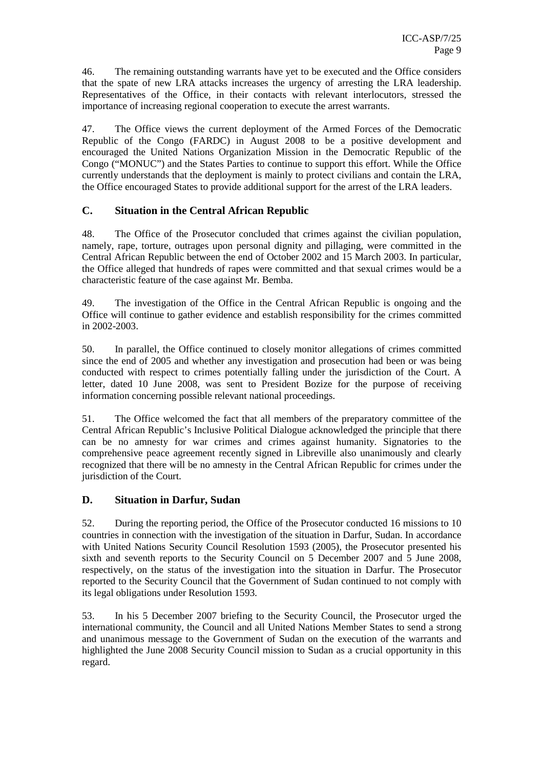46. The remaining outstanding warrants have yet to be executed and the Office considers that the spate of new LRA attacks increases the urgency of arresting the LRA leadership. Representatives of the Office, in their contacts with relevant interlocutors, stressed the importance of increasing regional cooperation to execute the arrest warrants.

47. The Office views the current deployment of the Armed Forces of the Democratic Republic of the Congo (FARDC) in August 2008 to be a positive development and encouraged the United Nations Organization Mission in the Democratic Republic of the Congo ("MONUC") and the States Parties to continue to support this effort. While the Office currently understands that the deployment is mainly to protect civilians and contain the LRA, the Office encouraged States to provide additional support for the arrest of the LRA leaders.

#### **C. Situation in the Central African Republic**

48. The Office of the Prosecutor concluded that crimes against the civilian population, namely, rape, torture, outrages upon personal dignity and pillaging, were committed in the Central African Republic between the end of October 2002 and 15 March 2003. In particular, the Office alleged that hundreds of rapes were committed and that sexual crimes would be a characteristic feature of the case against Mr. Bemba.

49. The investigation of the Office in the Central African Republic is ongoing and the Office will continue to gather evidence and establish responsibility for the crimes committed in 2002-2003.

50. In parallel, the Office continued to closely monitor allegations of crimes committed since the end of 2005 and whether any investigation and prosecution had been or was being conducted with respect to crimes potentially falling under the jurisdiction of the Court. A letter, dated 10 June 2008, was sent to President Bozize for the purpose of receiving information concerning possible relevant national proceedings.

51. The Office welcomed the fact that all members of the preparatory committee of the Central African Republic's Inclusive Political Dialogue acknowledged the principle that there can be no amnesty for war crimes and crimes against humanity. Signatories to the comprehensive peace agreement recently signed in Libreville also unanimously and clearly recognized that there will be no amnesty in the Central African Republic for crimes under the jurisdiction of the Court.

#### **D. Situation in Darfur, Sudan**

52. During the reporting period, the Office of the Prosecutor conducted 16 missions to 10 countries in connection with the investigation of the situation in Darfur, Sudan. In accordance with United Nations Security Council Resolution 1593 (2005), the Prosecutor presented his sixth and seventh reports to the Security Council on 5 December 2007 and 5 June 2008, respectively, on the status of the investigation into the situation in Darfur. The Prosecutor reported to the Security Council that the Government of Sudan continued to not comply with its legal obligations under Resolution 1593.

53. In his 5 December 2007 briefing to the Security Council, the Prosecutor urged the international community, the Council and all United Nations Member States to send a strong and unanimous message to the Government of Sudan on the execution of the warrants and highlighted the June 2008 Security Council mission to Sudan as a crucial opportunity in this regard.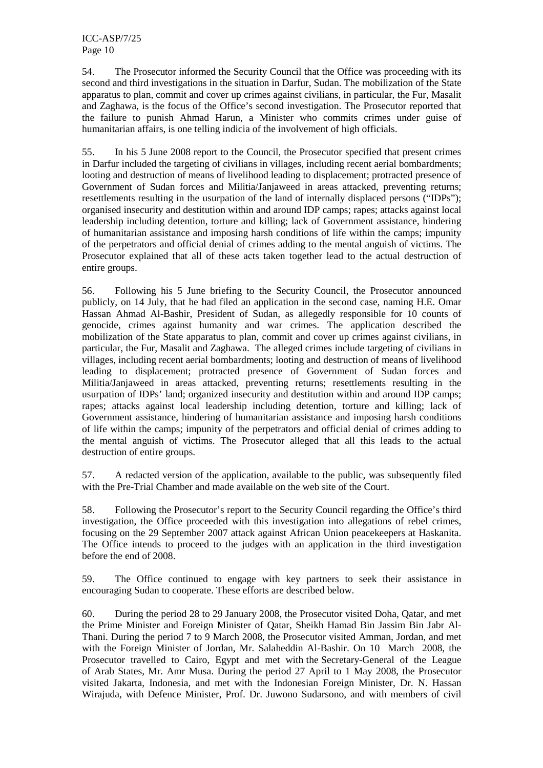ICC-ASP/7/25 Page 10

54. The Prosecutor informed the Security Council that the Office was proceeding with its second and third investigations in the situation in Darfur, Sudan. The mobilization of the State apparatus to plan, commit and cover up crimes against civilians, in particular, the Fur, Masalit and Zaghawa, is the focus of the Office's second investigation. The Prosecutor reported that the failure to punish Ahmad Harun, a Minister who commits crimes under guise of humanitarian affairs, is one telling indicia of the involvement of high officials.

55. In his 5 June 2008 report to the Council, the Prosecutor specified that present crimes in Darfur included the targeting of civilians in villages, including recent aerial bombardments; looting and destruction of means of livelihood leading to displacement; protracted presence of Government of Sudan forces and Militia/Janjaweed in areas attacked, preventing returns; resettlements resulting in the usurpation of the land of internally displaced persons ("IDPs"); organised insecurity and destitution within and around IDP camps; rapes; attacks against local leadership including detention, torture and killing; lack of Government assistance, hindering of humanitarian assistance and imposing harsh conditions of life within the camps; impunity of the perpetrators and official denial of crimes adding to the mental anguish of victims. The Prosecutor explained that all of these acts taken together lead to the actual destruction of entire groups.

56. Following his 5 June briefing to the Security Council, the Prosecutor announced publicly, on 14 July, that he had filed an application in the second case, naming H.E. Omar Hassan Ahmad Al-Bashir, President of Sudan, as allegedly responsible for 10 counts of genocide, crimes against humanity and war crimes. The application described the mobilization of the State apparatus to plan, commit and cover up crimes against civilians, in particular, the Fur, Masalit and Zaghawa. The alleged crimes include targeting of civilians in villages, including recent aerial bombardments; looting and destruction of means of livelihood leading to displacement; protracted presence of Government of Sudan forces and Militia/Janjaweed in areas attacked, preventing returns; resettlements resulting in the usurpation of IDPs' land; organized insecurity and destitution within and around IDP camps; rapes; attacks against local leadership including detention, torture and killing; lack of Government assistance, hindering of humanitarian assistance and imposing harsh conditions of life within the camps; impunity of the perpetrators and official denial of crimes adding to the mental anguish of victims. The Prosecutor alleged that all this leads to the actual destruction of entire groups.

57. A redacted version of the application, available to the public, was subsequently filed with the Pre-Trial Chamber and made available on the web site of the Court.

58. Following the Prosecutor's report to the Security Council regarding the Office's third investigation, the Office proceeded with this investigation into allegations of rebel crimes, focusing on the 29 September 2007 attack against African Union peacekeepers at Haskanita. The Office intends to proceed to the judges with an application in the third investigation before the end of 2008.

59. The Office continued to engage with key partners to seek their assistance in encouraging Sudan to cooperate. These efforts are described below.

60. During the period 28 to 29 January 2008, the Prosecutor visited Doha, Qatar, and met the Prime Minister and Foreign Minister of Qatar, Sheikh Hamad Bin Jassim Bin Jabr Al-Thani. During the period 7 to 9 March 2008, the Prosecutor visited Amman, Jordan, and met with the Foreign Minister of Jordan, Mr. Salaheddin Al-Bashir. On 10 March 2008, the Prosecutor travelled to Cairo, Egypt and met with the Secretary-General of the League of Arab States, Mr. Amr Musa. During the period 27 April to 1 May 2008, the Prosecutor visited Jakarta, Indonesia, and met with the Indonesian Foreign Minister, Dr. N. Hassan Wirajuda, with Defence Minister, Prof. Dr. Juwono Sudarsono, and with members of civil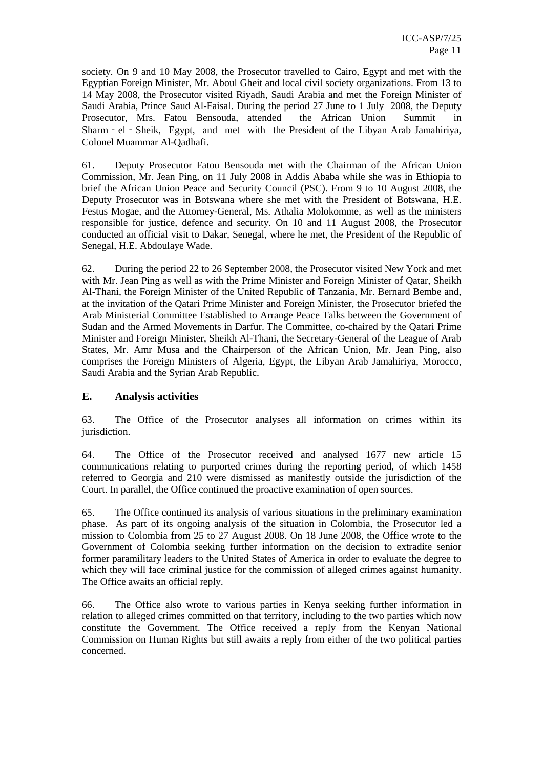society. On 9 and 10 May 2008, the Prosecutor travelled to Cairo, Egypt and met with the Egyptian Foreign Minister, Mr. Aboul Gheit and local civil society organizations. From 13 to 14 May 2008, the Prosecutor visited Riyadh, Saudi Arabia and met the Foreign Minister of Saudi Arabia, Prince Saud Al-Faisal. During the period 27 June to 1 July 2008, the Deputy Prosecutor, Mrs. Fatou Bensouda, attended the African Union Summit in Sharm - el - Sheik, Egypt, and met with the President of the Libyan Arab Jamahiriya, Colonel Muammar Al-Qadhafi.

61. Deputy Prosecutor Fatou Bensouda met with the Chairman of the African Union Commission, Mr. Jean Ping, on 11 July 2008 in Addis Ababa while she was in Ethiopia to brief the African Union Peace and Security Council (PSC). From 9 to 10 August 2008, the Deputy Prosecutor was in Botswana where she met with the President of Botswana, H.E. Festus Mogae, and the Attorney-General, Ms. Athalia Molokomme, as well as the ministers responsible for justice, defence and security. On 10 and 11 August 2008, the Prosecutor conducted an official visit to Dakar, Senegal, where he met, the President of the Republic of Senegal, H.E. Abdoulaye Wade.

62. During the period 22 to 26 September 2008, the Prosecutor visited New York and met with Mr. Jean Ping as well as with the Prime Minister and Foreign Minister of Qatar, Sheikh Al-Thani, the Foreign Minister of the United Republic of Tanzania, Mr. Bernard Bembe and, at the invitation of the Qatari Prime Minister and Foreign Minister, the Prosecutor briefed the Arab Ministerial Committee Established to Arrange Peace Talks between the Government of Sudan and the Armed Movements in Darfur. The Committee, co-chaired by the Qatari Prime Minister and Foreign Minister, Sheikh Al-Thani, the Secretary-General of the League of Arab States, Mr. Amr Musa and the Chairperson of the African Union, Mr. Jean Ping, also comprises the Foreign Ministers of Algeria, Egypt, the Libyan Arab Jamahiriya, Morocco, Saudi Arabia and the Syrian Arab Republic.

#### **E. Analysis activities**

63. The Office of the Prosecutor analyses all information on crimes within its jurisdiction.

64. The Office of the Prosecutor received and analysed 1677 new article 15 communications relating to purported crimes during the reporting period, of which 1458 referred to Georgia and 210 were dismissed as manifestly outside the jurisdiction of the Court. In parallel, the Office continued the proactive examination of open sources.

65. The Office continued its analysis of various situations in the preliminary examination phase. As part of its ongoing analysis of the situation in Colombia, the Prosecutor led a mission to Colombia from 25 to 27 August 2008. On 18 June 2008, the Office wrote to the Government of Colombia seeking further information on the decision to extradite senior former paramilitary leaders to the United States of America in order to evaluate the degree to which they will face criminal justice for the commission of alleged crimes against humanity. The Office awaits an official reply.

66. The Office also wrote to various parties in Kenya seeking further information in relation to alleged crimes committed on that territory, including to the two parties which now constitute the Government. The Office received a reply from the Kenyan National Commission on Human Rights but still awaits a reply from either of the two political parties concerned.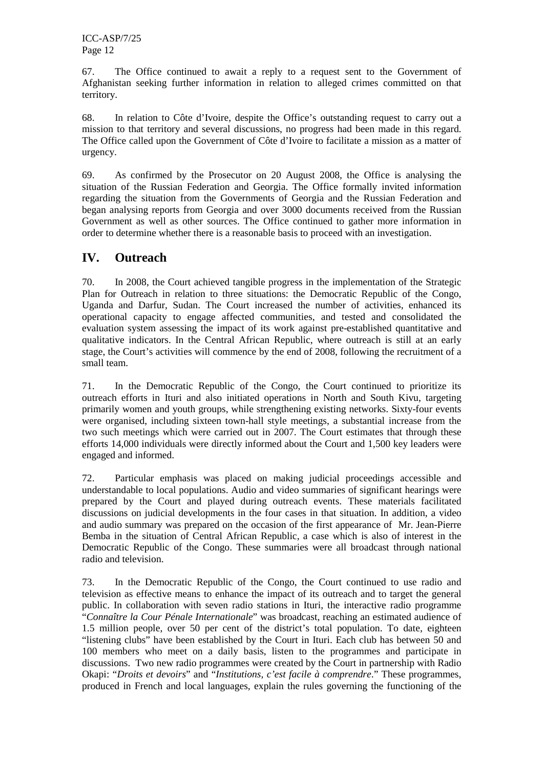ICC-ASP/7/25 Page 12

67. The Office continued to await a reply to a request sent to the Government of Afghanistan seeking further information in relation to alleged crimes committed on that territory.

68. In relation to Côte d'Ivoire, despite the Office's outstanding request to carry out a mission to that territory and several discussions, no progress had been made in this regard. The Office called upon the Government of Côte d'Ivoire to facilitate a mission as a matter of urgency.

69. As confirmed by the Prosecutor on 20 August 2008, the Office is analysing the situation of the Russian Federation and Georgia. The Office formally invited information regarding the situation from the Governments of Georgia and the Russian Federation and began analysing reports from Georgia and over 3000 documents received from the Russian Government as well as other sources. The Office continued to gather more information in order to determine whether there is a reasonable basis to proceed with an investigation.

#### **IV. Outreach**

70. In 2008, the Court achieved tangible progress in the implementation of the Strategic Plan for Outreach in relation to three situations: the Democratic Republic of the Congo, Uganda and Darfur, Sudan. The Court increased the number of activities, enhanced its operational capacity to engage affected communities, and tested and consolidated the evaluation system assessing the impact of its work against pre-established quantitative and qualitative indicators. In the Central African Republic, where outreach is still at an early stage, the Court's activities will commence by the end of 2008, following the recruitment of a small team.

71. In the Democratic Republic of the Congo, the Court continued to prioritize its outreach efforts in Ituri and also initiated operations in North and South Kivu, targeting primarily women and youth groups, while strengthening existing networks. Sixty-four events were organised, including sixteen town-hall style meetings, a substantial increase from the two such meetings which were carried out in 2007. The Court estimates that through these efforts 14,000 individuals were directly informed about the Court and 1,500 key leaders were engaged and informed.

72. Particular emphasis was placed on making judicial proceedings accessible and understandable to local populations. Audio and video summaries of significant hearings were prepared by the Court and played during outreach events. These materials facilitated discussions on judicial developments in the four cases in that situation. In addition, a video and audio summary was prepared on the occasion of the first appearance of Mr. Jean-Pierre Bemba in the situation of Central African Republic, a case which is also of interest in the Democratic Republic of the Congo. These summaries were all broadcast through national radio and television.

73. In the Democratic Republic of the Congo, the Court continued to use radio and television as effective means to enhance the impact of its outreach and to target the general public. In collaboration with seven radio stations in Ituri, the interactive radio programme "*Connaître la Cour Pénale Internationale*" was broadcast, reaching an estimated audience of 1.5 million people, over 50 per cent of the district's total population. To date, eighteen "listening clubs" have been established by the Court in Ituri. Each club has between 50 and 100 members who meet on a daily basis, listen to the programmes and participate in discussions. Two new radio programmes were created by the Court in partnership with Radio Okapi: "*Droits et devoirs*" and "*Institutions, c'est facile à comprendre*." These programmes, produced in French and local languages, explain the rules governing the functioning of the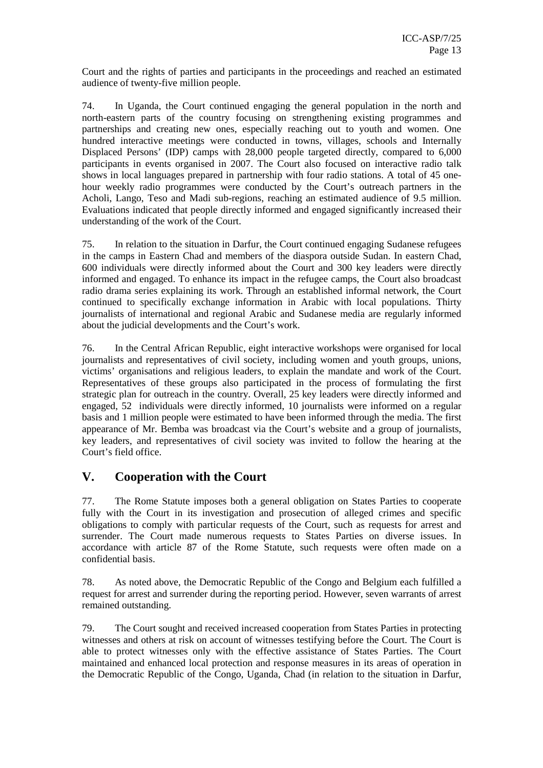Court and the rights of parties and participants in the proceedings and reached an estimated audience of twenty-five million people.

74. In Uganda, the Court continued engaging the general population in the north and north-eastern parts of the country focusing on strengthening existing programmes and partnerships and creating new ones, especially reaching out to youth and women. One hundred interactive meetings were conducted in towns, villages, schools and Internally Displaced Persons' (IDP) camps with 28,000 people targeted directly, compared to 6,000 participants in events organised in 2007. The Court also focused on interactive radio talk shows in local languages prepared in partnership with four radio stations. A total of 45 onehour weekly radio programmes were conducted by the Court's outreach partners in the Acholi, Lango, Teso and Madi sub-regions, reaching an estimated audience of 9.5 million. Evaluations indicated that people directly informed and engaged significantly increased their understanding of the work of the Court.

75. In relation to the situation in Darfur, the Court continued engaging Sudanese refugees in the camps in Eastern Chad and members of the diaspora outside Sudan. In eastern Chad, 600 individuals were directly informed about the Court and 300 key leaders were directly informed and engaged. To enhance its impact in the refugee camps, the Court also broadcast radio drama series explaining its work. Through an established informal network, the Court continued to specifically exchange information in Arabic with local populations. Thirty journalists of international and regional Arabic and Sudanese media are regularly informed about the judicial developments and the Court's work.

76. In the Central African Republic, eight interactive workshops were organised for local journalists and representatives of civil society, including women and youth groups, unions, victims' organisations and religious leaders, to explain the mandate and work of the Court. Representatives of these groups also participated in the process of formulating the first strategic plan for outreach in the country. Overall, 25 key leaders were directly informed and engaged, 52 individuals were directly informed, 10 journalists were informed on a regular basis and 1 million people were estimated to have been informed through the media. The first appearance of Mr. Bemba was broadcast via the Court's website and a group of journalists, key leaders, and representatives of civil society was invited to follow the hearing at the Court's field office.

### **V. Cooperation with the Court**

77. The Rome Statute imposes both a general obligation on States Parties to cooperate fully with the Court in its investigation and prosecution of alleged crimes and specific obligations to comply with particular requests of the Court, such as requests for arrest and surrender. The Court made numerous requests to States Parties on diverse issues. In accordance with article 87 of the Rome Statute, such requests were often made on a confidential basis.

78. As noted above, the Democratic Republic of the Congo and Belgium each fulfilled a request for arrest and surrender during the reporting period. However, seven warrants of arrest remained outstanding.

79. The Court sought and received increased cooperation from States Parties in protecting witnesses and others at risk on account of witnesses testifying before the Court. The Court is able to protect witnesses only with the effective assistance of States Parties. The Court maintained and enhanced local protection and response measures in its areas of operation in the Democratic Republic of the Congo, Uganda, Chad (in relation to the situation in Darfur,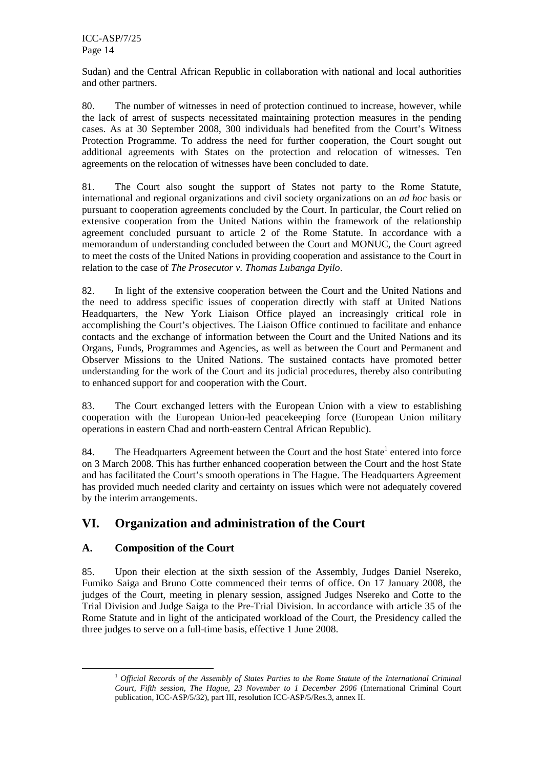Sudan) and the Central African Republic in collaboration with national and local authorities and other partners.

80. The number of witnesses in need of protection continued to increase, however, while the lack of arrest of suspects necessitated maintaining protection measures in the pending cases. As at 30 September 2008, 300 individuals had benefited from the Court's Witness Protection Programme. To address the need for further cooperation, the Court sought out additional agreements with States on the protection and relocation of witnesses. Ten agreements on the relocation of witnesses have been concluded to date.

81. The Court also sought the support of States not party to the Rome Statute, international and regional organizations and civil society organizations on an *ad hoc* basis or pursuant to cooperation agreements concluded by the Court. In particular, the Court relied on extensive cooperation from the United Nations within the framework of the relationship agreement concluded pursuant to article 2 of the Rome Statute. In accordance with a memorandum of understanding concluded between the Court and MONUC, the Court agreed to meet the costs of the United Nations in providing cooperation and assistance to the Court in relation to the case of *The Prosecutor v. Thomas Lubanga Dyilo*.

82. In light of the extensive cooperation between the Court and the United Nations and the need to address specific issues of cooperation directly with staff at United Nations Headquarters, the New York Liaison Office played an increasingly critical role in accomplishing the Court's objectives. The Liaison Office continued to facilitate and enhance contacts and the exchange of information between the Court and the United Nations and its Organs, Funds, Programmes and Agencies, as well as between the Court and Permanent and Observer Missions to the United Nations. The sustained contacts have promoted better understanding for the work of the Court and its judicial procedures, thereby also contributing to enhanced support for and cooperation with the Court.

83. The Court exchanged letters with the European Union with a view to establishing cooperation with the European Union-led peacekeeping force (European Union military operations in eastern Chad and north-eastern Central African Republic).

84. The Headquarters Agreement between the Court and the host State<sup>1</sup> entered into force on 3 March 2008. This has further enhanced cooperation between the Court and the host State and has facilitated the Court's smooth operations in The Hague. The Headquarters Agreement has provided much needed clarity and certainty on issues which were not adequately covered by the interim arrangements.

### **VI. Organization and administration of the Court**

#### **A. Composition of the Court**

85. Upon their election at the sixth session of the Assembly, Judges Daniel Nsereko, Fumiko Saiga and Bruno Cotte commenced their terms of office. On 17 January 2008, the judges of the Court, meeting in plenary session, assigned Judges Nsereko and Cotte to the Trial Division and Judge Saiga to the Pre-Trial Division. In accordance with article 35 of the Rome Statute and in light of the anticipated workload of the Court, the Presidency called the three judges to serve on a full-time basis, effective 1 June 2008.

<sup>1</sup> *Official Records of the Assembly of States Parties to the Rome Statute of the International Criminal Court, Fifth session, The Hague, 23 November to 1 December 2006* (International Criminal Court publication, ICC-ASP/5/32), part III, resolution ICC-ASP/5/Res.3, annex II.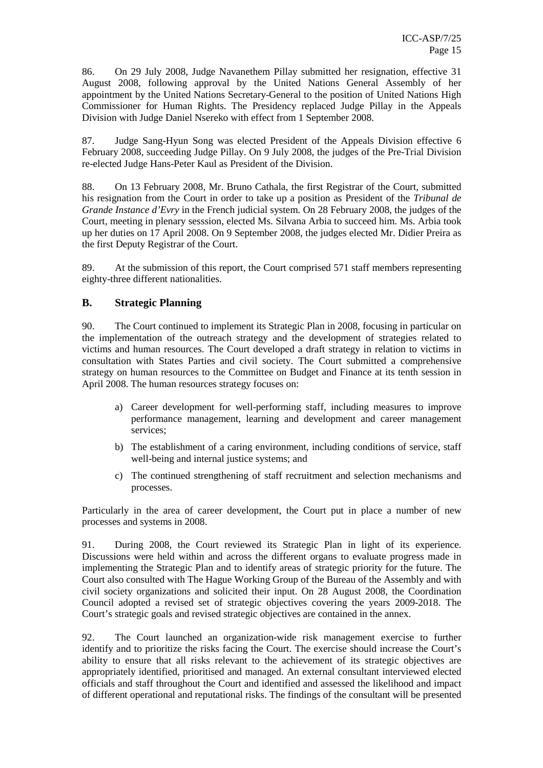86. On 29 July 2008, Judge Navanethem Pillay submitted her resignation, effective 31 August 2008, following approval by the United Nations General Assembly of her appointment by the United Nations Secretary-General to the position of United Nations High Commissioner for Human Rights. The Presidency replaced Judge Pillay in the Appeals Division with Judge Daniel Nsereko with effect from 1 September 2008.

87. Judge Sang-Hyun Song was elected President of the Appeals Division effective 6 February 2008, succeeding Judge Pillay. On 9 July 2008, the judges of the Pre-Trial Division re-elected Judge Hans-Peter Kaul as President of the Division.

88. On 13 February 2008, Mr. Bruno Cathala, the first Registrar of the Court, submitted his resignation from the Court in order to take up a position as President of the *Tribunal de Grande Instance d'Evry* in the French judicial system. On 28 February 2008, the judges of the Court, meeting in plenary sesssion, elected Ms. Silvana Arbia to succeed him. Ms. Arbia took up her duties on 17 April 2008. On 9 September 2008, the judges elected Mr. Didier Preira as the first Deputy Registrar of the Court.

89. At the submission of this report, the Court comprised 571 staff members representing eighty-three different nationalities.

#### **B. Strategic Planning**

90. The Court continued to implement its Strategic Plan in 2008, focusing in particular on the implementation of the outreach strategy and the development of strategies related to victims and human resources. The Court developed a draft strategy in relation to victims in consultation with States Parties and civil society. The Court submitted a comprehensive strategy on human resources to the Committee on Budget and Finance at its tenth session in April 2008. The human resources strategy focuses on:

- a) Career development for well-performing staff, including measures to improve performance management, learning and development and career management services;
- b) The establishment of a caring environment, including conditions of service, staff well-being and internal justice systems; and
- c) The continued strengthening of staff recruitment and selection mechanisms and processes.

Particularly in the area of career development, the Court put in place a number of new processes and systems in 2008.

91. During 2008, the Court reviewed its Strategic Plan in light of its experience. Discussions were held within and across the different organs to evaluate progress made in implementing the Strategic Plan and to identify areas of strategic priority for the future. The Court also consulted with The Hague Working Group of the Bureau of the Assembly and with civil society organizations and solicited their input. On 28 August 2008, the Coordination Council adopted a revised set of strategic objectives covering the years 2009-2018. The Court's strategic goals and revised strategic objectives are contained in the annex.

92. The Court launched an organization-wide risk management exercise to further identify and to prioritize the risks facing the Court. The exercise should increase the Court's ability to ensure that all risks relevant to the achievement of its strategic objectives are appropriately identified, prioritised and managed. An external consultant interviewed elected officials and staff throughout the Court and identified and assessed the likelihood and impact of different operational and reputational risks. The findings of the consultant will be presented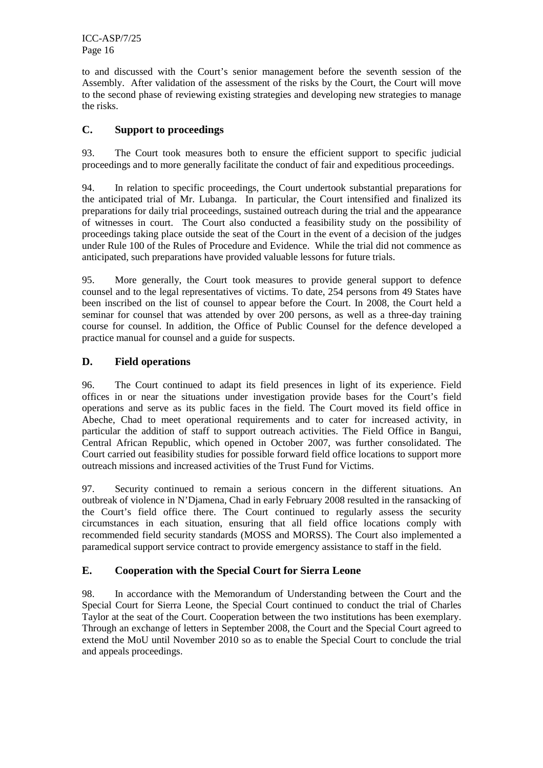ICC-ASP/7/25 Page 16

to and discussed with the Court's senior management before the seventh session of the Assembly. After validation of the assessment of the risks by the Court, the Court will move to the second phase of reviewing existing strategies and developing new strategies to manage the risks.

#### **C. Support to proceedings**

93. The Court took measures both to ensure the efficient support to specific judicial proceedings and to more generally facilitate the conduct of fair and expeditious proceedings.

94. In relation to specific proceedings, the Court undertook substantial preparations for the anticipated trial of Mr. Lubanga. In particular, the Court intensified and finalized its preparations for daily trial proceedings, sustained outreach during the trial and the appearance of witnesses in court. The Court also conducted a feasibility study on the possibility of proceedings taking place outside the seat of the Court in the event of a decision of the judges under Rule 100 of the Rules of Procedure and Evidence. While the trial did not commence as anticipated, such preparations have provided valuable lessons for future trials.

95. More generally, the Court took measures to provide general support to defence counsel and to the legal representatives of victims. To date, 254 persons from 49 States have been inscribed on the list of counsel to appear before the Court. In 2008, the Court held a seminar for counsel that was attended by over 200 persons, as well as a three-day training course for counsel. In addition, the Office of Public Counsel for the defence developed a practice manual for counsel and a guide for suspects.

#### **D. Field operations**

96. The Court continued to adapt its field presences in light of its experience. Field offices in or near the situations under investigation provide bases for the Court's field operations and serve as its public faces in the field. The Court moved its field office in Abeche, Chad to meet operational requirements and to cater for increased activity, in particular the addition of staff to support outreach activities. The Field Office in Bangui, Central African Republic, which opened in October 2007, was further consolidated. The Court carried out feasibility studies for possible forward field office locations to support more outreach missions and increased activities of the Trust Fund for Victims.

97. Security continued to remain a serious concern in the different situations. An outbreak of violence in N'Djamena, Chad in early February 2008 resulted in the ransacking of the Court's field office there. The Court continued to regularly assess the security circumstances in each situation, ensuring that all field office locations comply with recommended field security standards (MOSS and MORSS). The Court also implemented a paramedical support service contract to provide emergency assistance to staff in the field.

#### **E. Cooperation with the Special Court for Sierra Leone**

98. In accordance with the Memorandum of Understanding between the Court and the Special Court for Sierra Leone, the Special Court continued to conduct the trial of Charles Taylor at the seat of the Court. Cooperation between the two institutions has been exemplary. Through an exchange of letters in September 2008, the Court and the Special Court agreed to extend the MoU until November 2010 so as to enable the Special Court to conclude the trial and appeals proceedings.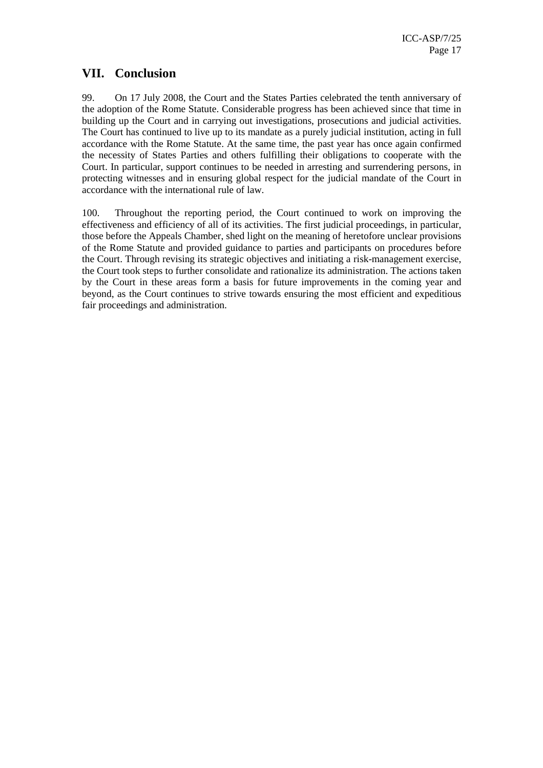#### **VII. Conclusion**

99. On 17 July 2008, the Court and the States Parties celebrated the tenth anniversary of the adoption of the Rome Statute. Considerable progress has been achieved since that time in building up the Court and in carrying out investigations, prosecutions and judicial activities. The Court has continued to live up to its mandate as a purely judicial institution, acting in full accordance with the Rome Statute. At the same time, the past year has once again confirmed the necessity of States Parties and others fulfilling their obligations to cooperate with the Court. In particular, support continues to be needed in arresting and surrendering persons, in protecting witnesses and in ensuring global respect for the judicial mandate of the Court in accordance with the international rule of law.

100. Throughout the reporting period, the Court continued to work on improving the effectiveness and efficiency of all of its activities. The first judicial proceedings, in particular, those before the Appeals Chamber, shed light on the meaning of heretofore unclear provisions of the Rome Statute and provided guidance to parties and participants on procedures before the Court. Through revising its strategic objectives and initiating a risk-management exercise, the Court took steps to further consolidate and rationalize its administration. The actions taken by the Court in these areas form a basis for future improvements in the coming year and beyond, as the Court continues to strive towards ensuring the most efficient and expeditious fair proceedings and administration.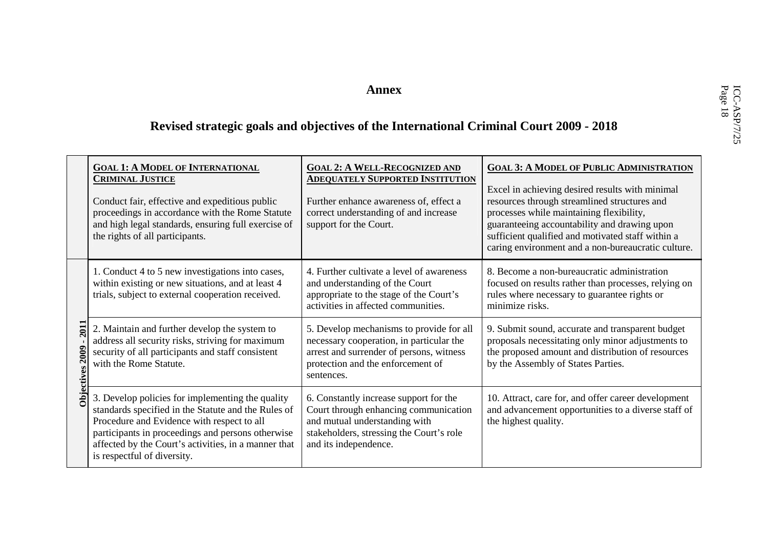# Annex<br> **ICC-ASP/7/25 Revised strategic goals and objectives of the International Criminal Court 2009 - 2018**

|                                                 | <b>GOAL 1: A MODEL OF INTERNATIONAL</b><br><b>CRIMINAL JUSTICE</b><br>Conduct fair, effective and expeditious public<br>proceedings in accordance with the Rome Statute<br>and high legal standards, ensuring full exercise of<br>the rights of all participants.                                 | <b>GOAL 2: A WELL-RECOGNIZED AND</b><br><b>ADEQUATELY SUPPORTED INSTITUTION</b><br>Further enhance awareness of, effect a<br>correct understanding of and increase<br>support for the Court. | <b>GOAL 3: A MODEL OF PUBLIC ADMINISTRATION</b><br>Excel in achieving desired results with minimal<br>resources through streamlined structures and<br>processes while maintaining flexibility,<br>guaranteeing accountability and drawing upon<br>sufficient qualified and motivated staff within a<br>caring environment and a non-bureaucratic culture. |
|-------------------------------------------------|---------------------------------------------------------------------------------------------------------------------------------------------------------------------------------------------------------------------------------------------------------------------------------------------------|----------------------------------------------------------------------------------------------------------------------------------------------------------------------------------------------|-----------------------------------------------------------------------------------------------------------------------------------------------------------------------------------------------------------------------------------------------------------------------------------------------------------------------------------------------------------|
| <b>2011</b><br><b>2009</b><br><b>Objectives</b> | 1. Conduct 4 to 5 new investigations into cases,<br>within existing or new situations, and at least 4<br>trials, subject to external cooperation received.                                                                                                                                        | 4. Further cultivate a level of awareness<br>and understanding of the Court<br>appropriate to the stage of the Court's<br>activities in affected communities.                                | 8. Become a non-bureaucratic administration<br>focused on results rather than processes, relying on<br>rules where necessary to guarantee rights or<br>minimize risks.                                                                                                                                                                                    |
|                                                 | 2. Maintain and further develop the system to<br>address all security risks, striving for maximum<br>security of all participants and staff consistent<br>with the Rome Statute.                                                                                                                  | 5. Develop mechanisms to provide for all<br>necessary cooperation, in particular the<br>arrest and surrender of persons, witness<br>protection and the enforcement of<br>sentences.          | 9. Submit sound, accurate and transparent budget<br>proposals necessitating only minor adjustments to<br>the proposed amount and distribution of resources<br>by the Assembly of States Parties.                                                                                                                                                          |
|                                                 | 3. Develop policies for implementing the quality<br>standards specified in the Statute and the Rules of<br>Procedure and Evidence with respect to all<br>participants in proceedings and persons otherwise<br>affected by the Court's activities, in a manner that<br>is respectful of diversity. | 6. Constantly increase support for the<br>Court through enhancing communication<br>and mutual understanding with<br>stakeholders, stressing the Court's role<br>and its independence.        | 10. Attract, care for, and offer career development<br>and advancement opportunities to a diverse staff of<br>the highest quality.                                                                                                                                                                                                                        |